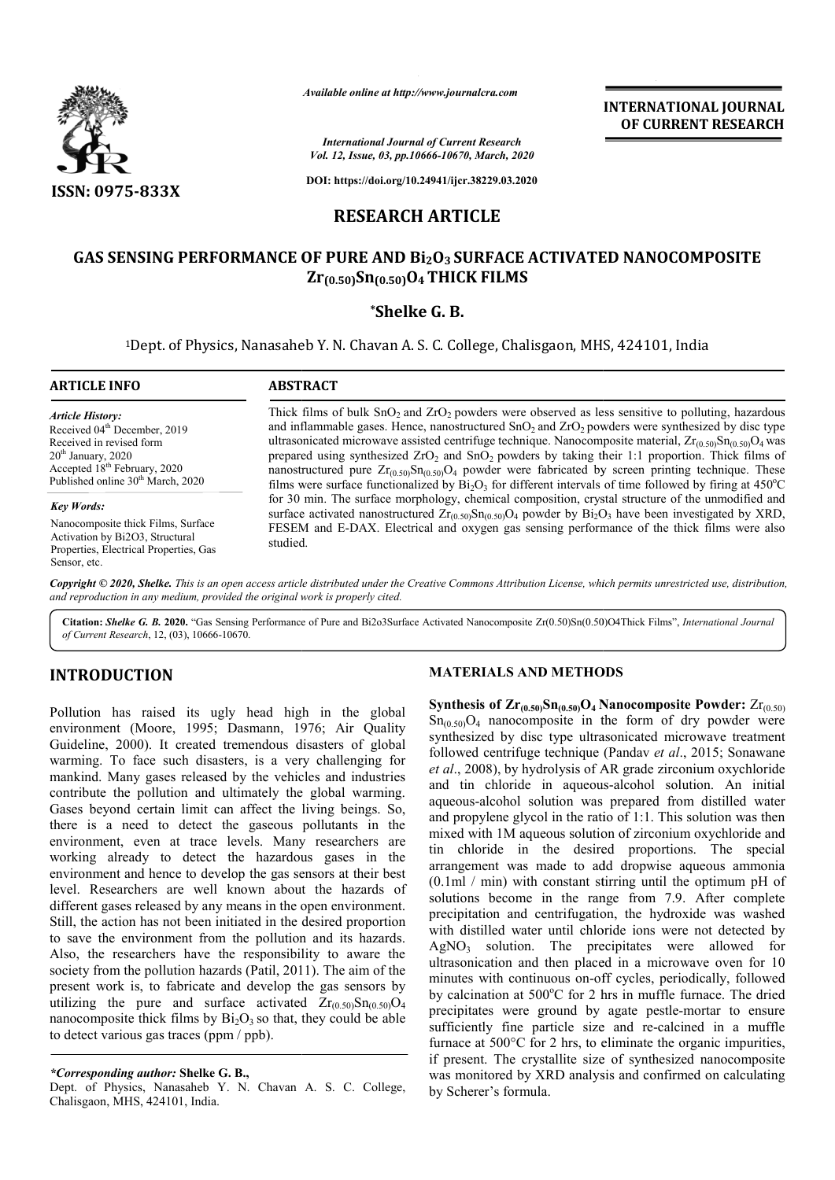

**INTERNATIONAL JOURNAL OF CURRENT RESEARCH**

*International Journal of Current Research Vol. 12, Issue, 03, pp.10666-10670, March, 2020*

**DOI: https://doi.org/10.24941/ijcr.38229.03.2020**

# **RESEARCH ARTICLE**

# **GAS SENSING PERFORMANCE OF PURE AND Bi2O3 SURFACE ACTIVATED NANOCOMPOSITE NANOCOMPOSITE Zr(0.50)Sn(0.50)O4 THICK FILMS**

## **\*Shelke G. B.**

<sup>1</sup>Dept. of Physics, Nanasaheb Y. N. Chavan A. S. C. College, Chalisgaon, MHS, 424101, India

# **ARTICLE INFO ABSTRACT** Thick films of bulk  $SnO<sub>2</sub>$  and  $ZrO<sub>2</sub>$  powders were observed as less sensitive to polluting, hazardous and inflammable gases. Hence, nanostructured  $SnO<sub>2</sub>$  and  $ZrO<sub>2</sub>$  powders were synthesized by disc type and inflammable gases. Hence, nanostructured SnO<sub>2</sub> and ZrO<sub>2</sub> powders were synthesized by disc type ultrasonicated microwave assisted centrifuge technique. Nanocomposite material,  $Zr_{(0.50)}Sn_{(0.50)}O_4$  was prepared using synthesized  $ZrO<sub>2</sub>$  and SnO<sub>2</sub> powders by taking their 1:1 proportion. Thick films of nanostructured pure  $Zr_{(0.50)}Sn_{(0.50)}O_4$  powder were fabricated by screen printing technique. These films were surface functionalized by  $Bi<sub>2</sub>O<sub>3</sub>$  for different intervals of time followed by firing at 450°C for 30 min. The surface morphology, chemical composition, crystal structure of the unmodified and surface activated nanostructured  $Zr_{(0.50)}Sn_{(0.50)}O_4$  powder by  $Bi_2O_3$  have been investigated by XRD, FESEM and E-DAX. Electrical and oxygen gas sensing performance of the thick films were also studied. *Article History:* Received 04<sup>th</sup> December, 2019 Received in revised form  $20<sup>th</sup>$  January,  $2020$ Accepted 18th February, 2020 Published online 30<sup>th</sup> March, 2020 *Key Words:* Nanocomposite thick Films, Surface Activation by Bi2O3, Structural Properties, Electrical Properties, Gas Available online at http://www.journalcra.com<br>
International Journal of Current Researce<br>
Vol. 12, Issue, 03, pp.10666-10670, March, 2<br>
DOI: https://doi.org/10.24941/ijcr.38229.03.<br> **RESEARCH ARTICLE**<br> **RESEARCH ARTICLE**<br> powders by taking their 1:1 proportion. Thick films of<br>r were fabricated by screen printing technique. These<br>or different intervals of time followed by firing at 450°C

Copyright © 2020, Shelke. This is an open access article distributed under the Creative Commons Attribution License, which permits unrestricted use, distribution, *and reproduction in any medium, provided the original work is properly cited.*

Citation: Shelke G. B. 2020. "Gas Sensing Performance of Pure and Bi2o3Surface Activated Nanocomposite Zr(0.50)Sn(0.50)O4Thick Films", *International Journal of Current Research*, 12, (03), 10666-10670.

# **INTRODUCTION**

Sensor, etc.

Pollution has raised its ugly head high in the global environment (Moore, 1995; Dasmann, 1976; Air Quality Guideline, 2000). It created tremendous disasters of global warming. To face such disasters, is a very challenging for mankind. Many gases released by the vehicles and industries contribute the pollution and ultimately the global warming. Gases beyond certain limit can affect the living beings. So, there is a need to detect the gaseous pollutants in the environment, even at trace levels. Many researchers are working already to detect the hazardous gases in the environment and hence to develop the gas sensors at their best level. Researchers are well known about the hazards of different gases released by any means in the open environment. Still, the action has not been initiated in the desired proportion to save the environment from the pollution and its hazards. Also, the researchers have the responsibility to aware the society from the pollution hazards (Patil, 2011). The aim of the present work is, to fabricate and develop the gas sensors by present work is, to fabricate and develop the gas sensors by utilizing the pure and surface activated  $Zr_{(0.50)}Sn_{(0.50)}O_4$ nanocomposite thick films by  $Bi<sub>2</sub>O<sub>3</sub>$  so that, they could be able to detect various gas traces (ppm / ppb). nvironment (Moore, 1995; Dasmann, 1976; Air Quality<br>
ivideline, 2000). It created tremendous disasters of global<br>
varming. To face such disasters, is a very challenging for<br>
anakind. Many gases released by the vehicles and

#### **MATERIALS AND METHODS METHODS**

Synthesis of  $\mathbf{Zr}_{(0.50)}\mathbf{Sn}_{(0.50)}\mathbf{O}_4$  Nanocomposite Powder:  $\mathrm{Zr}_{(0.50)}$  $Sn<sub>(0.50)</sub>O<sub>4</sub>$  nanocomposite in the form of dry powder were synthesized by disc type ultrasonicated microwave treatment followed centrifuge technique (Pandav et al., 2015; Sonawane *et al*., 2008), by hydrolysis of AR grade zirconium oxychloride et al., 2008), by hydrolysis of AR grade zirconium oxychloride<br>and tin chloride in aqueous-alcohol solution. An initial aqueous-alcohol solution was prepared from distilled water and propylene glycol in the ratio of 1:1. This solution was then mixed with 1M aqueous solution of zirconium oxychloride and aqueous-alcohol solution was prepared from distilled water<br>and propylene glycol in the ratio of 1:1. This solution was then<br>mixed with 1M aqueous solution of zirconium oxychloride and<br>tin chloride in the desired proportion arrangement was made to add dropwise aqueous ammonia (0.1ml / min) with constant stirring until the optimum pH of solutions become in the range from 7.9. After complete precipitation and centrifugation, the hydroxide was washed with distilled water until chloride ions were not detected by  $AgNO<sub>3</sub>$  solution. The precipitates were allowed for ultrasonication and then placed in a microwave oven for 10 minutes with continuous on-off cycles, periodically, followed by calcination at 500°C for 2 hrs in mu precipitates were ground by agate pestle-mortar to ensure sufficiently fine particle size and re-calcined in a muffle furnace at 500°C for 2 hrs, to eliminate the organic impurities, furnace at 500°C for 2 hrs, to eliminate the organic impurities, if present. The crystallite size of synthesized nanocomposite was monitored by XRD analysis and confirmed on calculating by Scherer's formula. nanocomposite in the form of dry powder were<br>d by disc type ultrasonicated microwave treatment<br>entrifuge technique (Pandav *et al.*, 2015; Sonawane ment was made to add dropwise aqueous ammonia / min) with constant stirring until the optimum pH of is become in the range from 7.9. After complete ation and centrifugation, the hydroxide was washed stilled water until ch **AL JOURNAL<br>
AL JOURNAL**<br> **RESEARCH**<br> **RESEARCH**<br> **COURNAL**<br> **COURNAL**<br> **COURNAL**<br> **COURNAL**<br> **COURNAL**<br> **COURNAL**<br> **COURNAL**<br> **COURNAL**<br> **COURNAL**<br> **COURNAL**<br> **COURNAL**<br> **COURNAL**<br> **COURNAL**<br> **COURNAL**<br> **COURNAL**<br> **COURNA** 

*<sup>\*</sup>Corresponding author:* **Shelke G. B.,**

Dept. of Physics, Nanasaheb Y. N. Chavan A. S. C. College, Chalisgaon, MHS, 424101, India.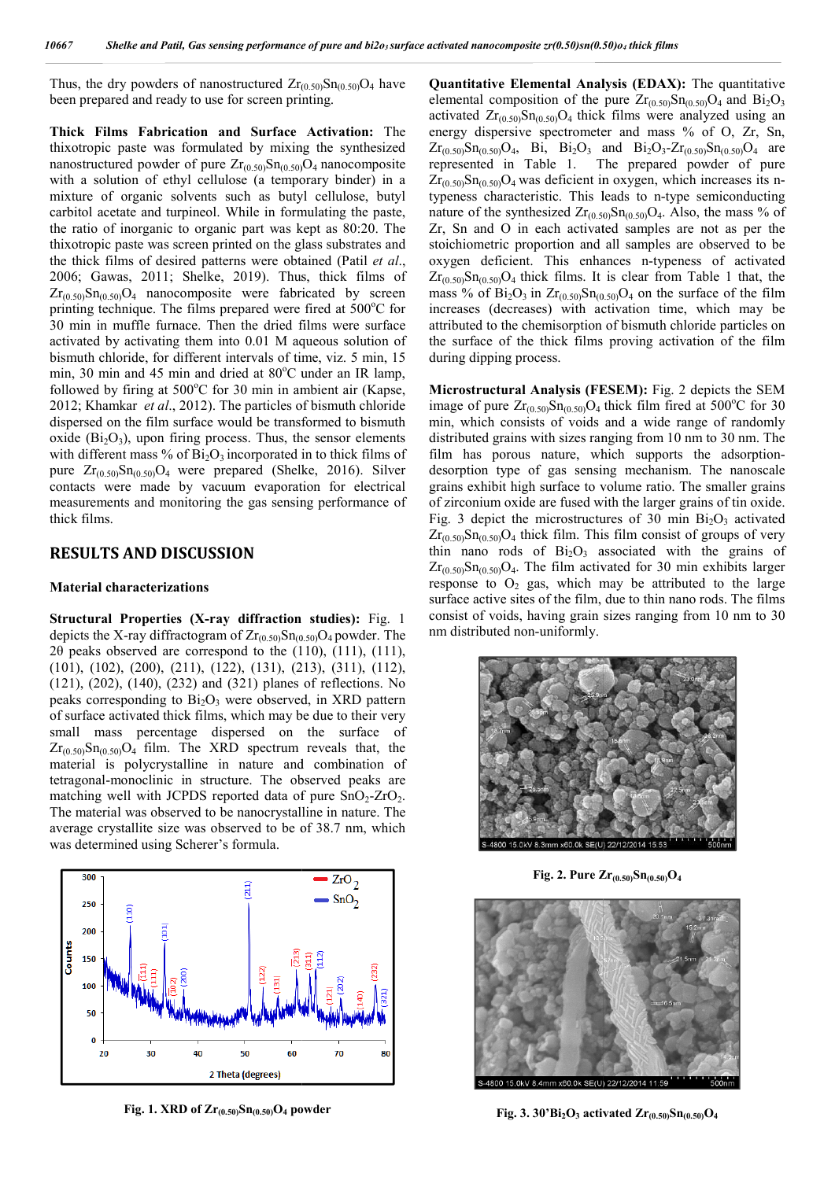Thus, the dry powders of nanostructured  $Zr_{(0.50)}Sn_{(0.50)}O_4$  have been prepared and ready to use for screen printing.

**Thick Films Fabrication and Surface Activation:**  The thixotropic paste was formulated by mixing the synthesized nanostructured powder of pure  $\text{Zr}_{(0.50)}\text{Sn}_{(0.50)}\text{O}_4$  nanocomposite with a solution of ethyl cellulose (a temporary binder) in a mixture of organic solvents such as butyl cellulose, butyl carbitol acetate and turpineol. While in formulating the paste, the ratio of inorganic to organic part was kept as 80:20. The thixotropic paste was screen printed on the glass substrates and the thick films of desired patterns were obtained (Patil *et al*., 2006; Gawas, 2011; Shelke, 2019). Thus, thick films of  $Zr_{(0.50)}Sn_{(0.50)}O_4$  nanocomposite were fabricated by screen printing technique. The films prepared were fired at 500°C for  $Zr_{(0.50)}Sn_{(0.50)}O_4$  nanocomposite were fabricated by screen printing technique. The films prepared were fired at 500 C for 30 min in muffle furnace. Then the dried films were surface activated by activating them into 0.01 M aqueous solution of bismuth chloride, for different intervals of time, viz. 5 min, 15 min, 30 min and 45 min and dried at 80°C under an IR lamp, followed by firing at 500°C for 30 min in ambient air (Kapse, 2012; Khamkar *et al*., 2012). The particles of bismuth chloride dispersed on the film surface would be transformed to bismuth oxide  $(Bi<sub>2</sub>O<sub>3</sub>)$ , upon firing process. Thus, the sensor elements with different mass % of  $Bi<sub>2</sub>O<sub>3</sub>$  incorporated in to thick films of pure  $Zr_{(0.50)}Sn_{(0.50)}O_4$  were prepared (Shelke, 2016). Silver contacts were made by vacuum evaporation for electrical measurements and monitoring the gas sensing performance of thick films. . The particles of bismuth chloride<br>
by evould be transformed to bismuth<br>
rocess. Thus, the sensor elements<br>  $O_3$  incorporated in to thick films of<br>
prepared (Shelke, 2016). Silver

### **RESULTS AND DISCUSSION**

#### **Material characterizations**

**Structural Properties (X-ray diffraction studies):** Fig. 1 depicts the X-ray diffractogram of  $Zr_{(0.50)}Sn_{(0.50)}O_4$  powder. The 2θ peaks observed are correspond to the  $(110)$ ,  $(111)$ ,  $(111)$ , (101), (102), (200), (211), (122), (131), (213), (311), (112), (121), (202), (140), (232) and (321) planes of reflections. No peaks corresponding to  $Bi<sub>2</sub>O<sub>3</sub>$  were observed, in XRD pattern of surface activated thick films, which may be due to their very small mass percentage dispersed on the surface of  $Zr_{(0.50)}Sn_{(0.50)}O_4$  film. The XRD spectrum reveals that, the material is polycrystalline in nature and combination of tetragonal-monoclinic in structure. The observed peaks are tetragonal-monoclinic in structure. The observed peaks are matching well with JCPDS reported data of pure SnO<sub>2</sub>-ZrO<sub>2</sub>. The material was observed to be nanocrystalline in nature. The average crystallite size was observed to be of 38.7 nm, which was determined using Scherer's formula.



**Fig. 1. XRD of Zr(0.50)Sn(0.50)O4 powder**

**Quantitative Elemental Analysis (EDAX):**  The quantitative elemental composition of the pure  $Zr_{(0.50)}Sn_{(0.50)}O_4$  and  $Bi_2O_3$ activated  $Zr_{(0.50)}Sn_{(0.50)}O_4$  thick films were analyzed using an energy dispersive spectrometer and mass % of O, Zr, Sn, energy dispersive spectrometer and mass % of O, Zr, Sn,  $Zr_{(0.50)}Sn_{(0.50)}O_4$ , Bi, Bi<sub>2</sub>O<sub>3</sub> and Bi<sub>2</sub>O<sub>3</sub>-Zr<sub>(0.50)</sub>Sn<sub>(0.50)</sub>O<sub>4</sub> are represented in Table 1. The prepared powder of pure represented in Table 1. The prepared powder of pure  $Zr_{(0.50)}Sn_{(0.50)}O_4$  was deficient in oxygen, which increases its ntypeness characteristic. This leads to n-type semiconducting nature of the synthesized  $Zr_{(0.50)}Sn_{(0.50)}O_4$ . Also, the mass % of Zr, Sn and O in each activated samples are not as per the stoichiometric proportion and all samples are observed to be Zr, Sn and O in each activated samples are not as per the stoichiometric proportion and all samples are observed to be oxygen deficient. This enhances n-typeness of activated  $Zr_{(0.50)}Sn_{(0.50)}O_4$  thick films. It is clear from Table 1 that, the  $Zr_{(0.50)}Sn_{(0.50)}O_4$  thick films. It is clear from Table 1 that, the mass % of  $Bi_2O_3$  in  $Zr_{(0.50)}Sn_{(0.50)}O_4$  on the surface of the film increases (decreases) with activation time, which may be attributed to the chemisorption of bismuth chloride particles on attributed to the chemisorption of bismuth chloride particles on the surface of the thick films proving activation of the film during dipping process.

**Microstructural Analysis (FESEM):** Fig. 2 depicts the SEM image of pure  $Zr_{(0.50)}Sn_{(0.50)}O_4$  thick film fired at 500°C for 30 min, which consists of voids and a wide range of randomly distributed grains with sizes ranging from 10 nm to 30 nm. The film has porous nature, which supports the adsorption desorption type of gas sensing mechanism. The nanoscale grains exhibit high surface to volume ratio. The smaller grains grains exhibit high surface to volume ratio. The smaller grains of zirconium oxide are fused with the larger grains of tin oxide. of zirconium oxide are fused with the larger grains of tin oxide.<br>Fig. 3 depict the microstructures of 30 min  $Bi<sub>2</sub>O<sub>3</sub>$  activated  $Zr_{(0.50)}Sn_{(0.50)}O_4$  thick film. This film consist of groups of very thin nano rods of  $Bi<sub>2</sub>O<sub>3</sub>$  associated with the grains of  $\text{Zr}_{(0.50)}\text{Sn}_{(0.50)}\text{O}_4$ . The film activated for 30 min exhibits larger response to  $O_2$  gas, which may be attributed to the large surface active sites of the film, due to thin nano rods. The films consist of voids, having grain sizes ranging from 10 nm to 30 nm distributed non-uniformly. voids and a wide range of randomly<br>zes ranging from 10 nm to 30 nm. The<br>re, which supports the adsorptionthick film. This film consist of groups of very<br>ls of  $Bi_2O_3$  associated with the grains of<br>. The film activated for 30 min exhibits larger<br> $_2$  gas, which may be attributed to the large<br>ites of the film, due to thin nan



**Fig. 2. Pure**  $\text{Zr}_{(0.50)}\text{Sn}_{(0.50)}\text{O}_4$ 



**Fig. 3. 30'Bi<sub>2</sub>O<sub>3</sub> activated**  $Zr_{(0.50)}Sn_{(0.50)}O_4$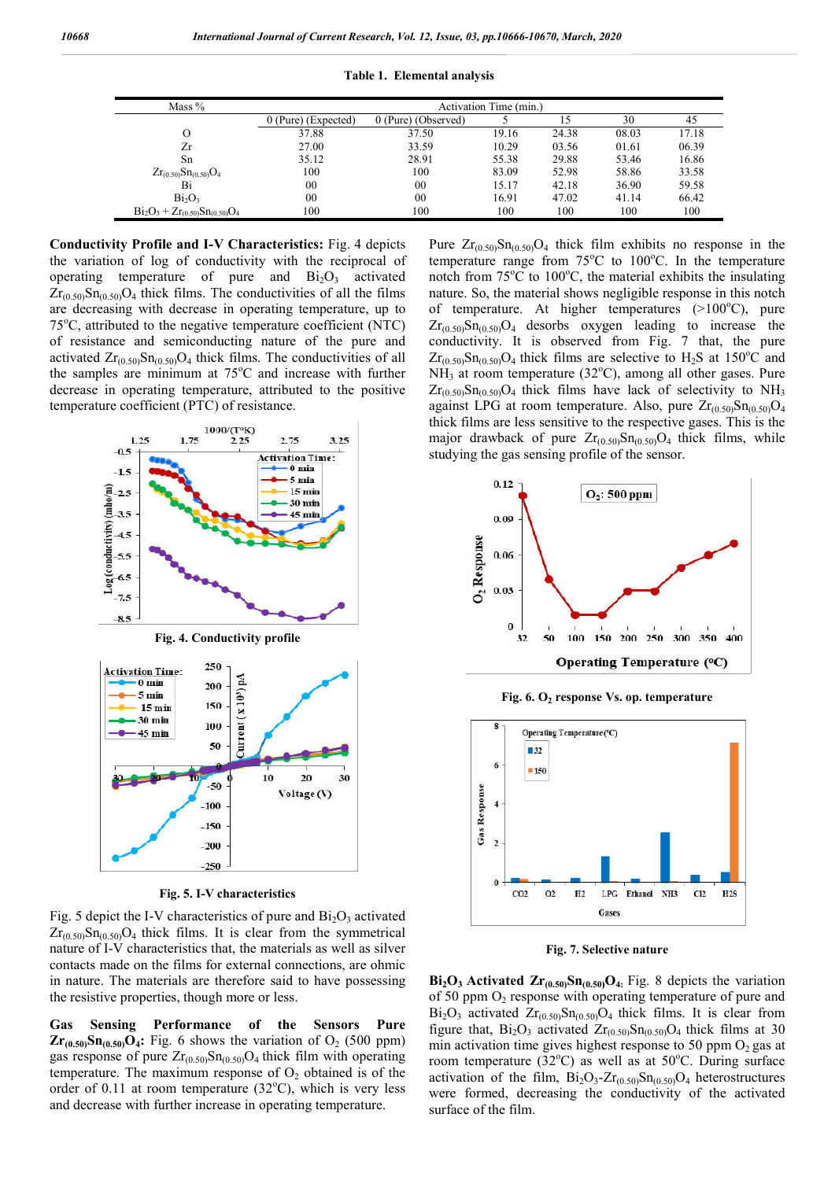| Mass %                                | Activation Time (min.) |                     |       |       |       |       |
|---------------------------------------|------------------------|---------------------|-------|-------|-------|-------|
|                                       | $0$ (Pure) (Expected)  | 0 (Pure) (Observed) |       | 15    | 30    |       |
| $\Omega$                              | 37.88                  | 37.50               | 19.16 | 24.38 | 08.03 | 17.18 |
| Zr                                    | 27.00                  | 33.59               | 10.29 | 03.56 | 01.61 | 06.39 |
| Sn                                    | 35.12                  | 28.91               | 55.38 | 29.88 | 53.46 | 16.86 |
| $Zr_{(0.50)}Sn_{(0.50)}O_4$           | 100                    | 100                 | 83.09 | 52.98 | 58.86 | 33.58 |
| Bi                                    | 00                     | 00                  | 15.17 | 42.18 | 36.90 | 59.58 |
| Bi <sub>2</sub> O <sub>3</sub>        | 00                     | 00                  | 16.91 | 47.02 | 41.14 | 66.42 |
| $Bi_2O_3 + Zr_{(0.50)}Sn_{(0.50)}O_4$ | 100                    | 100                 | 100   | 100   | 100   | 100   |

**Table 1. Elemental analysis**

**Conductivity Profile and I-V Characteristics: Fig. 4 depicts** the variation of log of conductivity with the reciprocal of operating temperature of pure and  $Bi_2O_3$  activated  $Zr_{(0.50)}Sn_{(0.50)}O_4$  thick films. The conductivities of all the films are decreasing with decrease in operating temperature, up to 75°C, attributed to the negative temperature coefficient (NTC) of resistance and semiconducting nature of the pure and activated  $Zr_{(0.50)}Sn_{(0.50)}O_4$  thick films. The conductivities of all the samples are minimum at 75°C and increase with further decrease in operating temperature, attributed to the positive temperature coefficient (PTC) of resistance.



**Fig. 5. I-V characteristics**

Fig. 5 depict the I-V characteristics of pure and  $Bi<sub>2</sub>O<sub>3</sub>$  activated  $Zr_{(0.50)}Sn_{(0.50)}O_4$  thick films. It is clear from the symmetrical nature of I-V characteristics that, the materials as well as silver contacts made on the films for external connections, are ohmic in nature. The materials are therefore said to have possessing the resistive properties, though more or less. mature of I-V characteristics that, the materials as well as silver<br>contacts made on the films for external connections, are ohmic<br>in nature. The materials are therefore said to have possessing<br>the resistive properties, t

**Gas Sensing Performance of the Sensors Pure**  gas response of pure  $Zr_{(0.50)}Sn_{(0.50)}O_4$  thick film with operating temperature. The maximum response of  $O_2$  obtained is of the order of 0.11 at room temperature (32°C), which is very less and decrease with further increase in operating temperature.

Pure  $Zr_{(0.50)}Sn_{(0.50)}O_4$  thick film exhibits no response in the temperature range from 75°C to 100°C. In the temperature notch from 75<sup>o</sup>C to 100<sup>o</sup>C, the material exhibits the insulating nature. So, the material shows negligible response in this notch of temperature. At higher temperatures  $(>100^{\circ}C)$ , pure nature. So, the material shows negligible response in this notch of temperature. At higher temperatures (>100 C), pure  $Zr_{(0.50)}Sn_{(0.50)}O_4$  desorbs oxygen leading to increase the  $Zr_{(0.50)}Sn_{(0.50)}O_4$  desorbs oxygen leading to increase the conductivity. It is observed from Fig. 7 that, the pure  $Zr_{(0.50)}Sn_{(0.50)}O_4$  thick films are selective to H<sub>2</sub>S at 150°C and  $NH<sub>3</sub>$  at room temperature (32°C), among all other gases. Pure NH<sub>3</sub> at room temperature (32°C), among all other gases. Pure  $Zr_{(0.50)}Sn_{(0.50)}O_4$  thick films have lack of selectivity to NH<sub>3</sub> against LPG at room temperature. Also, pure  $Zr_{(0.50)}Sn_{(0.50)}O<sub>4</sub>$ thick films are less sensitive to the respective gases. This is the thick films are less sensitive to the respective gases. This is the major drawback of pure  $Zr_{(0.50)}Sn_{(0.50)}O_4$  thick films, while studying the gas sensing profile of the sensor.



**Fig. 6. O2 response Vs. op. temperature response** 



**Fig. 7. Selective nature**

**Fig. 7. Selective nature**<br> **Bi<sub>2</sub>O<sub>3</sub> Activated**  $\text{Zr}_{(0.50)}\text{Sn}_{(0.50)}\text{O}_4$ **:** Fig. 8 depicts the variation of 50 ppm  $O_2$  response with operating temperature of pure and of 50 ppm O<sub>2</sub> response with operating temperature of pure and  $Bi_2O_3$  activated  $Zr_{(0.50)}Sn_{(0.50)}O_4$  thick films. It is clear from figure that,  $Bi_2O_3$  activated  $Zr_{(0.50)}Sn_{(0.50)}O_4$  thick films at 30 min activation time gives highest response to 50 ppm  $O_2$  gas at room temperature (32°C) as well as at 50°C. During surface activation of the film,  $Bi_2O_3$ - $Zr_{(0.50)}Sn_{(0.50)}O_4$  heterostructures were formed, decreasing the conductivity of the activated surface of the film.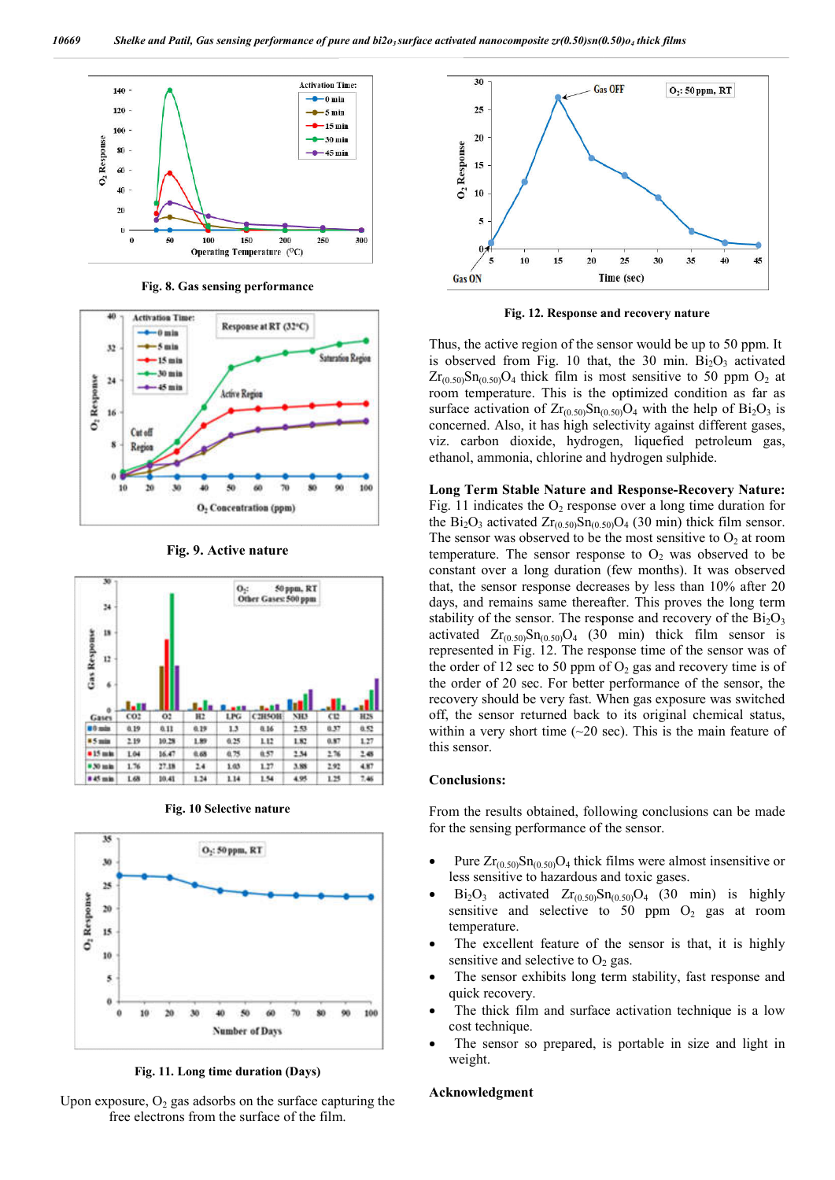

**Fig. 8. Gas sensing performance**



**Fig. 9. Active nature**



**Fig. 10 Selective nature**



**Fig. 11. Long time duration (Days)**





**Fig. 12. Response and recovery nature**

Thus, the active region of the sensor would be up to 50 ppm. It is observed from Fig. 10 that, the 30 min.  $Bi<sub>2</sub>O<sub>3</sub>$  activated  $\text{Zr}_{(0.50)}\text{Sn}_{(0.50)}\text{O}_4$  thick film is most sensitive to 50 ppm  $\text{O}_2$  at room temperature. This is the optimized condition as far as room temperature. This is the optimized condition as far as surface activation of  $Zr_{(0.50)}Sn_{(0.50)}O_4$  with the help of  $Bi_2O_3$  is concerned. Also, it has high selectivity against different gases, viz. carbon dioxide, hydrogen, liquefied petroleum gas, ethanol, ammonia, chlorine and hydrogen sulphide. ed. Also, it has high selectivity against different divide, hydrogen, liquefied petrammonia, chlorine and hydrogen sulphide.

**Long Term Stable Nature and Response Response-Recovery Nature:**  Fig. 11 indicates the  $O_2$  response over a long time duration for Fig. 11 indicates the O<sub>2</sub> response over a long time duration for the  $Bi_2O_3$  activated  $Zr_{(0.50)}Sn_{(0.50)}O_4$  (30 min) thick film sensor. The sensor was observed to be the most sensitive to  $O_2$  at room temperature. The sensor response to  $O_2$  was observed to be constant over a long duration (few months). It was observed that, the sensor response decreases by less than 10% after 20 days, and remains same thereafter. This proves the long term constant over a long duration (few months). It was observed that, the sensor response decreases by less than 10% after 20 days, and remains same thereafter. This proves the long term stability of the sensor. The response activated  $Zr_{(0.50)}Sn_{(0.50)}O_4$  (30 min) thick film sensor is represented in Fig. 12. The response time of the sensor was of the order of 12 sec to 50 ppm of  $O_2$  gas and recovery time is of the order of 20 sec. For better performance of the sensor, the recovery should be very fast. When gas exposure was switched off, the sensor returned back to its original chemical status, within a very short time (~20 sec). This is the main feature of this sensor.  $Zr_{(0.50)}Sn_{(0.50)}O_4$  (30 min) thick film sensor is ed in Fig. 12. The response time of the sensor was of of 12 sec to 50 ppm of  $O_2$  gas and recovery time is of proder of 20 sec. For better performance of the sensor, the<br>very should be very fast. When gas exposure was switched<br>the sensor returned back to its original chemical status,<br>in a very short time (~20 sec). This is the ma **EV(0.50)sn(0.50)o, thick films**<br> **EV(0.50)sn(0.50)o, thick films**<br> **EV(0.50) F EV(1.69) F EV(1.69) F EV(1.69) F EV(1.69) C EV(1.69) C EV(1.69) C EV(1.69) C EV(1.69) C C C C C C** 

#### **Conclusions:**

From the results obtained, following conclusions can be made for the sensing performance of the sensor.

- Pure  $Zr_{(0.50)}Sn_{(0.50)}O_4$  thick films were almost insensitive or less sensitive to hazardous and toxic gases.
- $Bi<sub>2</sub>O<sub>3</sub>$  activated  $Zr<sub>(0.50)</sub>Sn<sub>(0.50)</sub>O<sub>4</sub>$  (30 min) is highly sensitive and selective to 50 ppm  $O_2$  gas at room temperature.
- The excellent feature of the sensor is that, it is highly sensitive and selective to  $O_2$  gas. sensitive and selective to  $O_2$  gas.
- The sensor exhibits long term stability, fast response and quick recovery.
- The thick film and surface activation technique is a low cost technique.
- The sensor so prepared, is portable in size and light in weight.

#### **Acknowledgment**